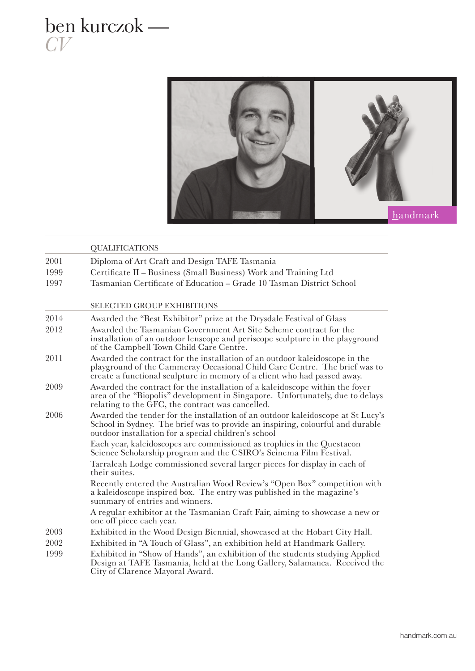## ben kurczok — *CV*



|      | <b>QUALIFICATIONS</b>                                                                                                                                                                                                                |
|------|--------------------------------------------------------------------------------------------------------------------------------------------------------------------------------------------------------------------------------------|
| 2001 | Diploma of Art Craft and Design TAFE Tasmania                                                                                                                                                                                        |
| 1999 | Certificate II - Business (Small Business) Work and Training Ltd                                                                                                                                                                     |
| 1997 | Tasmanian Certificate of Education - Grade 10 Tasman District School                                                                                                                                                                 |
|      | <b>SELECTED GROUP EXHIBITIONS</b>                                                                                                                                                                                                    |
| 2014 | Awarded the "Best Exhibitor" prize at the Drysdale Festival of Glass                                                                                                                                                                 |
| 2012 | Awarded the Tasmanian Government Art Site Scheme contract for the<br>installation of an outdoor lenscope and periscope sculpture in the playground<br>of the Campbell Town Child Care Centre.                                        |
| 2011 | Awarded the contract for the installation of an outdoor kaleidoscope in the<br>playground of the Cammeray Occasional Child Care Centre. The brief was to<br>create a functional sculpture in memory of a client who had passed away. |
| 2009 | Awarded the contract for the installation of a kaleidoscope within the foyer<br>area of the "Biopolis" development in Singapore. Unfortunately, due to delays<br>relating to the GFC, the contract was cancelled.                    |
| 2006 | Awarded the tender for the installation of an outdoor kaleidoscope at St Lucy's<br>School in Sydney. The brief was to provide an inspiring, colourful and durable<br>outdoor installation for a special children's school            |
|      | Each year, kaleidoscopes are commissioned as trophies in the Questacon<br>Science Scholarship program and the CSIRO's Scinema Film Festival.                                                                                         |
|      | Tarraleah Lodge commissioned several larger pieces for display in each of<br>their suites.                                                                                                                                           |
|      | Recently entered the Australian Wood Review's "Open Box" competition with<br>a kaleidoscope inspired box. The entry was published in the magazine's<br>summary of entries and winners.                                               |
|      | A regular exhibitor at the Tasmanian Craft Fair, aiming to showcase a new or<br>one off piece each year.                                                                                                                             |
| 2003 | Exhibited in the Wood Design Biennial, showcased at the Hobart City Hall.                                                                                                                                                            |
| 2002 | Exhibited in "A Touch of Glass", an exhibition held at Handmark Gallery.                                                                                                                                                             |
| 1999 | Exhibited in "Show of Hands", an exhibition of the students studying Applied<br>Design at TAFE Tasmania, held at the Long Gallery, Salamanca. Received the<br>City of Clarence Mayoral Award.                                        |